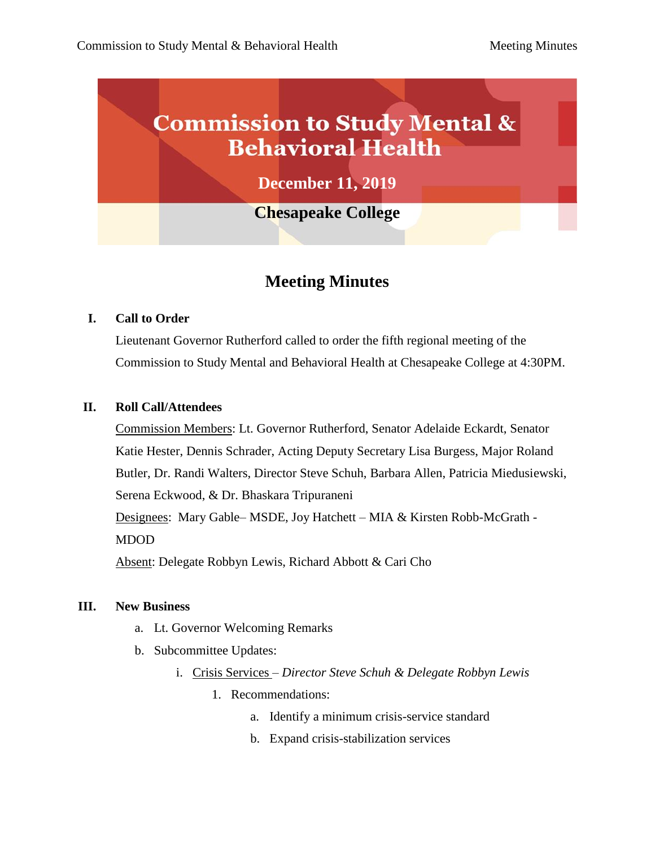# **Commission to Study Mental & Behavioral Health**

**December 11, 2019**

**Chesapeake College**

# **Meeting Minutes**

## **I. Call to Order**

Lieutenant Governor Rutherford called to order the fifth regional meeting of the Commission to Study Mental and Behavioral Health at Chesapeake College at 4:30PM.

### **II. Roll Call/Attendees**

Commission Members: Lt. Governor Rutherford, Senator Adelaide Eckardt, Senator Katie Hester, Dennis Schrader, Acting Deputy Secretary Lisa Burgess, Major Roland Butler, Dr. Randi Walters, Director Steve Schuh, Barbara Allen, Patricia Miedusiewski, Serena Eckwood, & Dr. Bhaskara Tripuraneni Designees: Mary Gable– MSDE, Joy Hatchett – MIA & Kirsten Robb-McGrath - MDOD

Absent: Delegate Robbyn Lewis, Richard Abbott & Cari Cho

### **III. New Business**

- a. Lt. Governor Welcoming Remarks
- b. Subcommittee Updates:
	- i. Crisis Services *– Director Steve Schuh & Delegate Robbyn Lewis*
		- 1. Recommendations:
			- a. Identify a minimum crisis-service standard
			- b. Expand crisis-stabilization services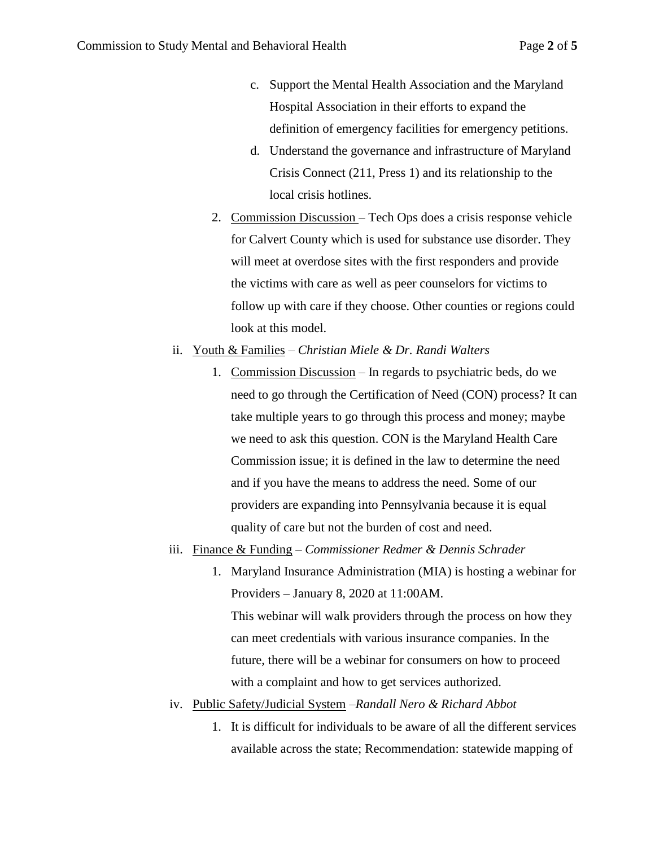- c. Support the Mental Health Association and the Maryland Hospital Association in their efforts to expand the definition of emergency facilities for emergency petitions.
- d. Understand the governance and infrastructure of Maryland Crisis Connect (211, Press 1) and its relationship to the local crisis hotlines.
- 2. Commission Discussion Tech Ops does a crisis response vehicle for Calvert County which is used for substance use disorder. They will meet at overdose sites with the first responders and provide the victims with care as well as peer counselors for victims to follow up with care if they choose. Other counties or regions could look at this model.
- ii. Youth & Families *Christian Miele & Dr. Randi Walters*
	- 1. Commission Discussion In regards to psychiatric beds, do we need to go through the Certification of Need (CON) process? It can take multiple years to go through this process and money; maybe we need to ask this question. CON is the Maryland Health Care Commission issue; it is defined in the law to determine the need and if you have the means to address the need. Some of our providers are expanding into Pennsylvania because it is equal quality of care but not the burden of cost and need.
- iii. Finance & Funding *Commissioner Redmer & Dennis Schrader*
	- 1. Maryland Insurance Administration (MIA) is hosting a webinar for Providers – January 8, 2020 at 11:00AM. This webinar will walk providers through the process on how they can meet credentials with various insurance companies. In the future, there will be a webinar for consumers on how to proceed with a complaint and how to get services authorized.
- iv. Public Safety/Judicial System –*Randall Nero & Richard Abbot*
	- 1. It is difficult for individuals to be aware of all the different services available across the state; Recommendation: statewide mapping of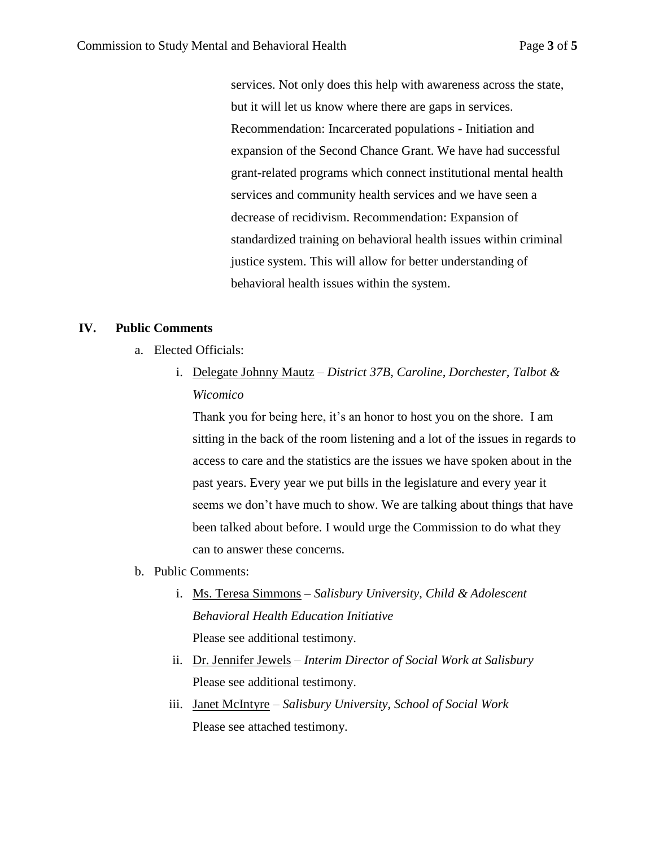services. Not only does this help with awareness across the state, but it will let us know where there are gaps in services. Recommendation: Incarcerated populations - Initiation and expansion of the Second Chance Grant. We have had successful grant-related programs which connect institutional mental health services and community health services and we have seen a decrease of recidivism. Recommendation: Expansion of standardized training on behavioral health issues within criminal justice system. This will allow for better understanding of behavioral health issues within the system.

#### **IV. Public Comments**

- a. Elected Officials:
	- i. Delegate Johnny Mautz *District 37B, Caroline, Dorchester, Talbot & Wicomico*

Thank you for being here, it's an honor to host you on the shore. I am sitting in the back of the room listening and a lot of the issues in regards to access to care and the statistics are the issues we have spoken about in the past years. Every year we put bills in the legislature and every year it seems we don't have much to show. We are talking about things that have been talked about before. I would urge the Commission to do what they can to answer these concerns.

- b. Public Comments:
	- i. Ms. Teresa Simmons *Salisbury University*, *Child & Adolescent Behavioral Health Education Initiative* Please see additional testimony.
	- ii. Dr. Jennifer Jewels *– Interim Director of Social Work at Salisbury* Please see additional testimony.
	- iii. Janet McIntyre *Salisbury University, School of Social Work* Please see attached testimony.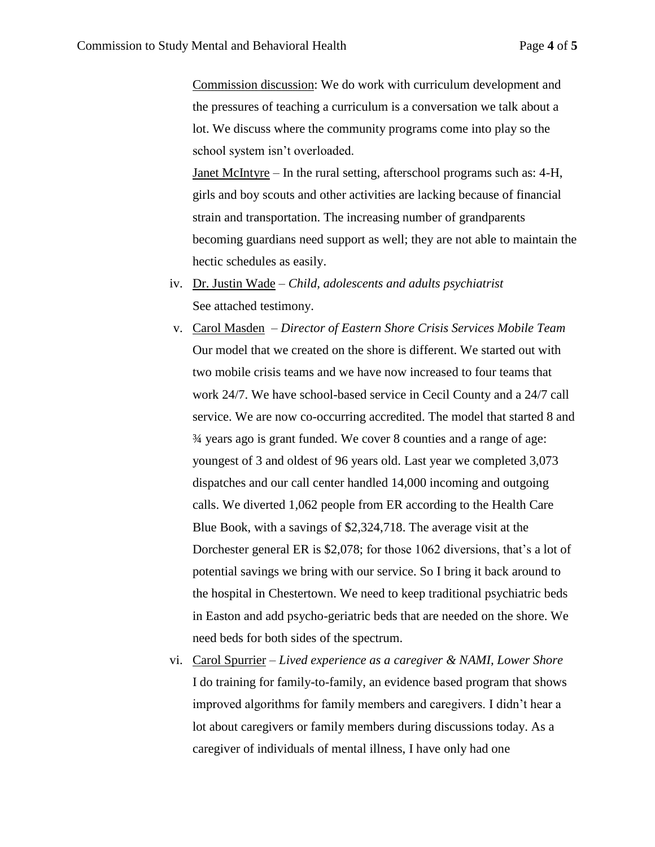Commission discussion: We do work with curriculum development and the pressures of teaching a curriculum is a conversation we talk about a lot. We discuss where the community programs come into play so the school system isn't overloaded.

Janet McIntyre – In the rural setting, afterschool programs such as: 4-H, girls and boy scouts and other activities are lacking because of financial strain and transportation. The increasing number of grandparents becoming guardians need support as well; they are not able to maintain the hectic schedules as easily.

- iv. Dr. Justin Wade *Child, adolescents and adults psychiatrist* See attached testimony.
- v. Carol Masden *Director of Eastern Shore Crisis Services Mobile Team* Our model that we created on the shore is different. We started out with two mobile crisis teams and we have now increased to four teams that work 24/7. We have school-based service in Cecil County and a 24/7 call service. We are now co-occurring accredited. The model that started 8 and ¾ years ago is grant funded. We cover 8 counties and a range of age: youngest of 3 and oldest of 96 years old. Last year we completed 3,073 dispatches and our call center handled 14,000 incoming and outgoing calls. We diverted 1,062 people from ER according to the Health Care Blue Book, with a savings of \$2,324,718. The average visit at the Dorchester general ER is \$2,078; for those 1062 diversions, that's a lot of potential savings we bring with our service. So I bring it back around to the hospital in Chestertown. We need to keep traditional psychiatric beds in Easton and add psycho-geriatric beds that are needed on the shore. We need beds for both sides of the spectrum.
- vi. Carol Spurrier *Lived experience as a caregiver & NAMI, Lower Shore* I do training for family-to-family, an evidence based program that shows improved algorithms for family members and caregivers. I didn't hear a lot about caregivers or family members during discussions today. As a caregiver of individuals of mental illness, I have only had one